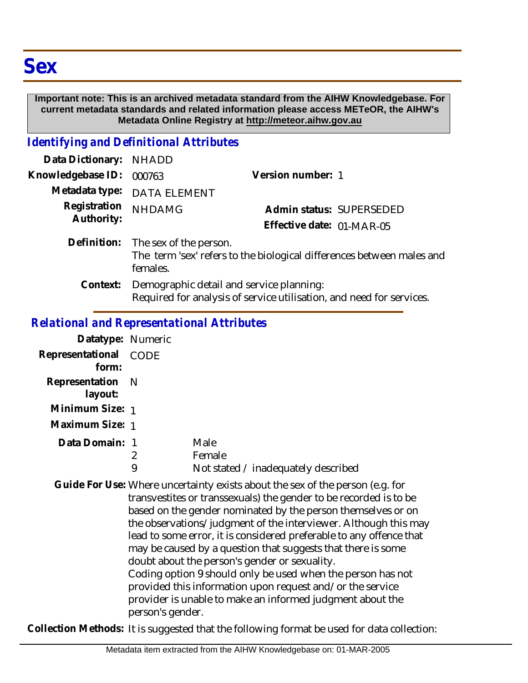## **Important note: This is an archived metadata standard from the AIHW Knowledgebase. For current metadata standards and related information please access METeOR, the AIHW's Metadata Online Registry at http://meteor.aihw.gov.au**

## *Identifying and Definitional Attributes*

| Data Dictionary: NHADD     |                                                                                                                  |                           |                          |
|----------------------------|------------------------------------------------------------------------------------------------------------------|---------------------------|--------------------------|
| Knowledgebase ID:          | 000763                                                                                                           | Version number: 1         |                          |
|                            | Metadata type: DATA ELEMENT                                                                                      |                           |                          |
| Registration<br>Authority: | <b>NHDAMG</b>                                                                                                    |                           | Admin status: SUPERSEDED |
|                            |                                                                                                                  | Effective date: 01-MAR-05 |                          |
| Definition:                | The sex of the person.<br>The term 'sex' refers to the biological differences between males and<br>females.      |                           |                          |
| Context:                   | Demographic detail and service planning:<br>Required for analysis of service utilisation, and need for services. |                           |                          |

## *Relational and Representational Attributes*

| Datatype: Numeric              |        |                                                       |
|--------------------------------|--------|-------------------------------------------------------|
| Representational CODE<br>form: |        |                                                       |
| Representation N<br>layout:    |        |                                                       |
| Minimum Size: 1                |        |                                                       |
| Maximum Size: 1                |        |                                                       |
| Data Domain: 1                 | 2<br>9 | Male<br>Female<br>Not stated / inadequately described |

Guide For Use: Where uncertainty exists about the sex of the person (e.g. for transvestites or transsexuals) the gender to be recorded is to be based on the gender nominated by the person themselves or on the observations/judgment of the interviewer. Although this may lead to some error, it is considered preferable to any offence that may be caused by a question that suggests that there is some doubt about the person's gender or sexuality. Coding option 9 should only be used when the person has not provided this information upon request and/or the service provider is unable to make an informed judgment about the person's gender.

**Collection Methods:** It is suggested that the following format be used for data collection: